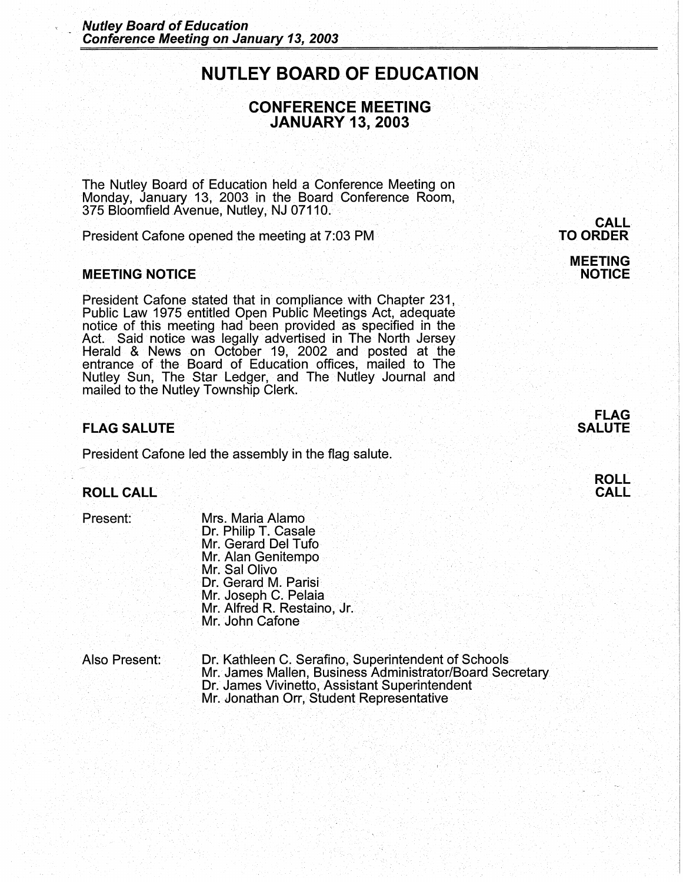# **NUTLEY BOARD OF EDUCATION**

# **CONFERENCE MEETING JANUARY 13, 2003**

The Nutley Board of Education held a Conference Meeting on Monday, January 13, 2003 in the Board Conference Room, 375 Bloomfield Avenue, Nutley, NJ 07110.

President Catone opened the meeting at 7:03 PM

## **MEETING NOTICE**

President Cafone stated that in compliance with Chapter 231, Public Law 1975 entitled Open Public Meetings Act, adequate notice of this meeting had been provided as specified in the Act. Said notice was legally advertised in The North Jersey. Herald & News on October 19, 2002 and posted at the entrance of the Board of Education offices, mailed to The Nutley Sun, The Star Ledger, and The Nutley Journal and mailed to the Nutley Township Clerk.

#### **FLAG SALUTE**

President Cafone led the assembly in the flag salute.

## **ROLL CALL**

Present:

Mrs. Maria Alamo Dr. Philip T. Casale Mr. Gerard Del Tufo Mr. Alan Genitempo Mr. Sal Olivo Dr. Gerard M. Parisi Mr. Joseph C. Pelaia Mr. Alfred R. Restaino, Jr. Mr. John Cafone

Also Present: Dr. Kathleen C. Serafino; Superintendent of Schools Mr. James Mallen, Business Administrator/Board Secretary. Dr. James Vivinetto, Assistant Superintendent · Mr. Jonathan Orr, Student Representative

. . .

**CALL TO ORDER** 

> **MEETING NOTICE**



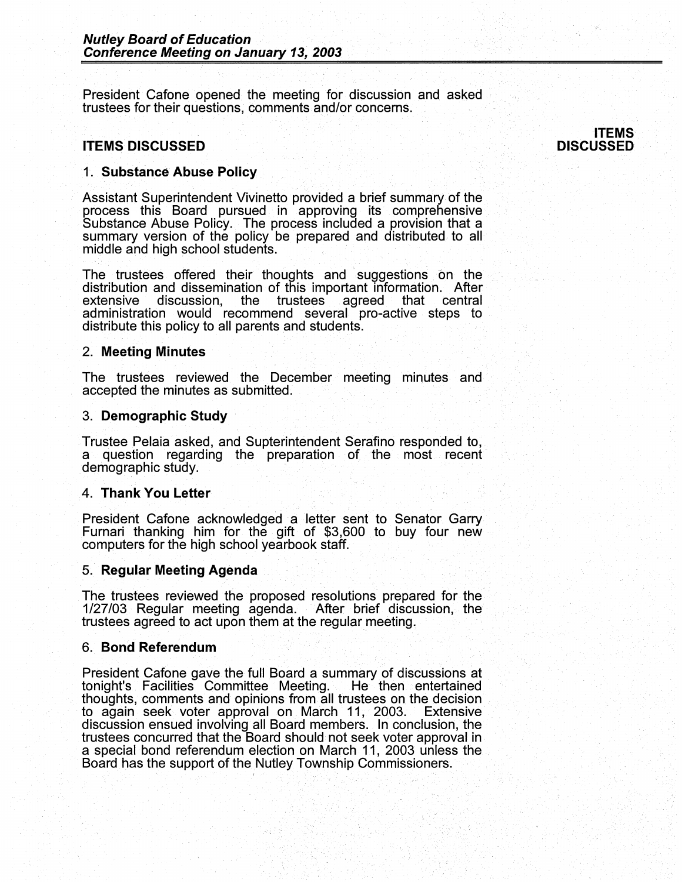President Cafone opened the meeting for discussion and asked trustees for their questions, comments and/or concerns.

# **ITEMS DISCUSSED**

**ITEMS DISCUSSED** 

## **1. Substance Abuse Policy**

Assistant Superintendent Vivinetto provided a brief summary of the process this Board pursued in approving its comprehensive Substance Abuse Policy. The process included a provision that a summary version of the policy be prepared and distributed to all middle and high school students.

The trustees offered their thoughts and suggestions on the distribution and dissemination of this important information. After extensive discussion., the trustees agreed that central administration would recommend several pro-active steps to distribute this policy to all parents and students.

#### 2. **Meeting Minutes**

The trustees reviewed the December meeting minutes and accepted the minutes as submitted.

#### 3. **Demographic Study**

Trustee Pelaia asked, and Supterintendent Serafino responded to. a question regarding the preparation of the most recent· demographic study.

#### 4. **Thank You Letter**

President Cafone acknowledged a letter sent to Senator Garry Furnari thanking him for the gift of \$3,600 to buy four new computers for the high school yearbook staff.

#### 5. **Regular Meeting Agenda** ·

The trustees reviewed the proposed resolutions prepared for the 1/27/03 Regular meeting agenda. After brief discussion, the trustees agreed to act upon them at the regular meeting.

#### **6. Bond Referendum**

President Cafone gave the full Board a summary of discussions at tonight's Facilities Committee Meeting. He then entertained tonight's Facilities Committee Meeting. thoughts, comments and opinions from all trustees on the decision to again seek voter approval on March 11, 2003. Extensive discussion ensued involving all Board members. In conclusion, the trustees concurred that the Board should not seek voter approval in a special bond referendum election on March 11, 2003 unless the . Board has the support of the Nutley Township Commissioners.